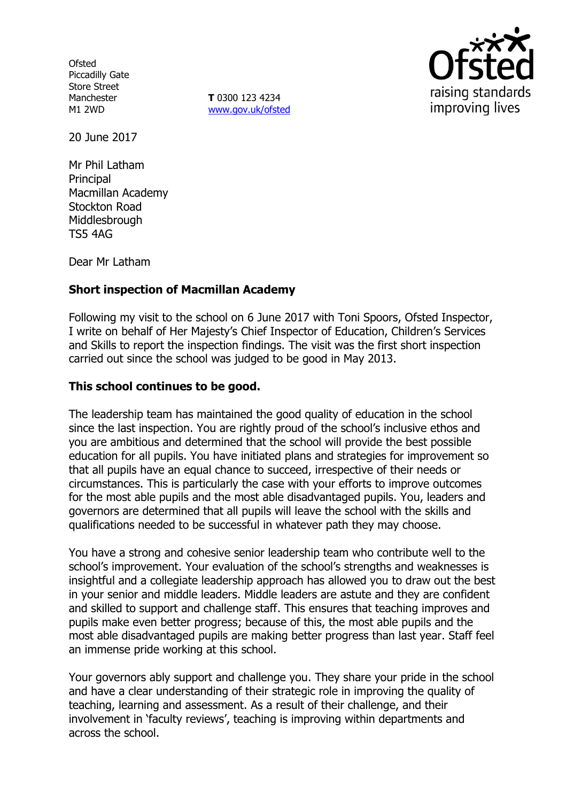**Ofsted** Piccadilly Gate Store Street Manchester M1 2WD

**T** 0300 123 4234 www.gov.uk/ofsted



20 June 2017

Mr Phil Latham **Principal** Macmillan Academy Stockton Road Middlesbrough TS5 4AG

Dear Mr Latham

# **Short inspection of Macmillan Academy**

Following my visit to the school on 6 June 2017 with Toni Spoors, Ofsted Inspector, I write on behalf of Her Majesty's Chief Inspector of Education, Children's Services and Skills to report the inspection findings. The visit was the first short inspection carried out since the school was judged to be good in May 2013.

### **This school continues to be good.**

The leadership team has maintained the good quality of education in the school since the last inspection. You are rightly proud of the school's inclusive ethos and you are ambitious and determined that the school will provide the best possible education for all pupils. You have initiated plans and strategies for improvement so that all pupils have an equal chance to succeed, irrespective of their needs or circumstances. This is particularly the case with your efforts to improve outcomes for the most able pupils and the most able disadvantaged pupils. You, leaders and governors are determined that all pupils will leave the school with the skills and qualifications needed to be successful in whatever path they may choose.

You have a strong and cohesive senior leadership team who contribute well to the school's improvement. Your evaluation of the school's strengths and weaknesses is insightful and a collegiate leadership approach has allowed you to draw out the best in your senior and middle leaders. Middle leaders are astute and they are confident and skilled to support and challenge staff. This ensures that teaching improves and pupils make even better progress; because of this, the most able pupils and the most able disadvantaged pupils are making better progress than last year. Staff feel an immense pride working at this school.

Your governors ably support and challenge you. They share your pride in the school and have a clear understanding of their strategic role in improving the quality of teaching, learning and assessment. As a result of their challenge, and their involvement in 'faculty reviews', teaching is improving within departments and across the school.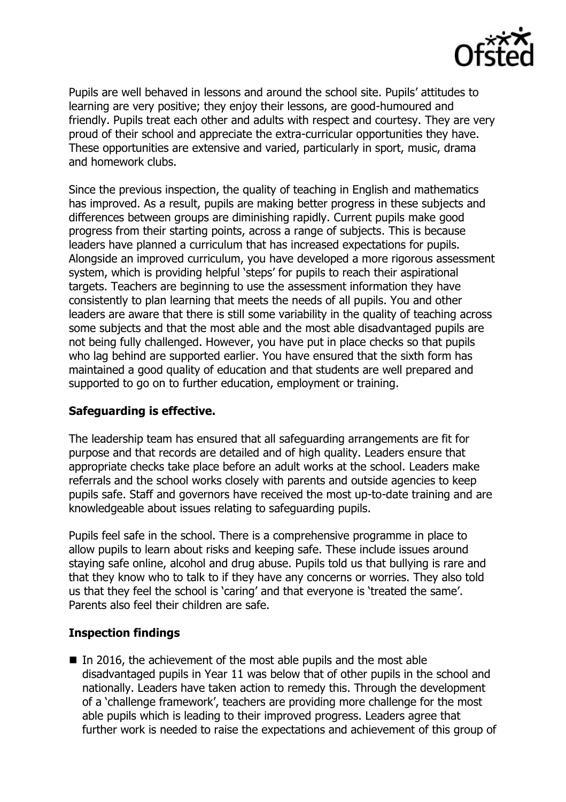

Pupils are well behaved in lessons and around the school site. Pupils' attitudes to learning are very positive; they enjoy their lessons, are good-humoured and friendly. Pupils treat each other and adults with respect and courtesy. They are very proud of their school and appreciate the extra-curricular opportunities they have. These opportunities are extensive and varied, particularly in sport, music, drama and homework clubs.

Since the previous inspection, the quality of teaching in English and mathematics has improved. As a result, pupils are making better progress in these subjects and differences between groups are diminishing rapidly. Current pupils make good progress from their starting points, across a range of subjects. This is because leaders have planned a curriculum that has increased expectations for pupils. Alongside an improved curriculum, you have developed a more rigorous assessment system, which is providing helpful 'steps' for pupils to reach their aspirational targets. Teachers are beginning to use the assessment information they have consistently to plan learning that meets the needs of all pupils. You and other leaders are aware that there is still some variability in the quality of teaching across some subjects and that the most able and the most able disadvantaged pupils are not being fully challenged. However, you have put in place checks so that pupils who lag behind are supported earlier. You have ensured that the sixth form has maintained a good quality of education and that students are well prepared and supported to go on to further education, employment or training.

# **Safeguarding is effective.**

The leadership team has ensured that all safeguarding arrangements are fit for purpose and that records are detailed and of high quality. Leaders ensure that appropriate checks take place before an adult works at the school. Leaders make referrals and the school works closely with parents and outside agencies to keep pupils safe. Staff and governors have received the most up-to-date training and are knowledgeable about issues relating to safeguarding pupils.

Pupils feel safe in the school. There is a comprehensive programme in place to allow pupils to learn about risks and keeping safe. These include issues around staying safe online, alcohol and drug abuse. Pupils told us that bullying is rare and that they know who to talk to if they have any concerns or worries. They also told us that they feel the school is 'caring' and that everyone is 'treated the same'. Parents also feel their children are safe.

# **Inspection findings**

In 2016, the achievement of the most able pupils and the most able disadvantaged pupils in Year 11 was below that of other pupils in the school and nationally. Leaders have taken action to remedy this. Through the development of a 'challenge framework', teachers are providing more challenge for the most able pupils which is leading to their improved progress. Leaders agree that further work is needed to raise the expectations and achievement of this group of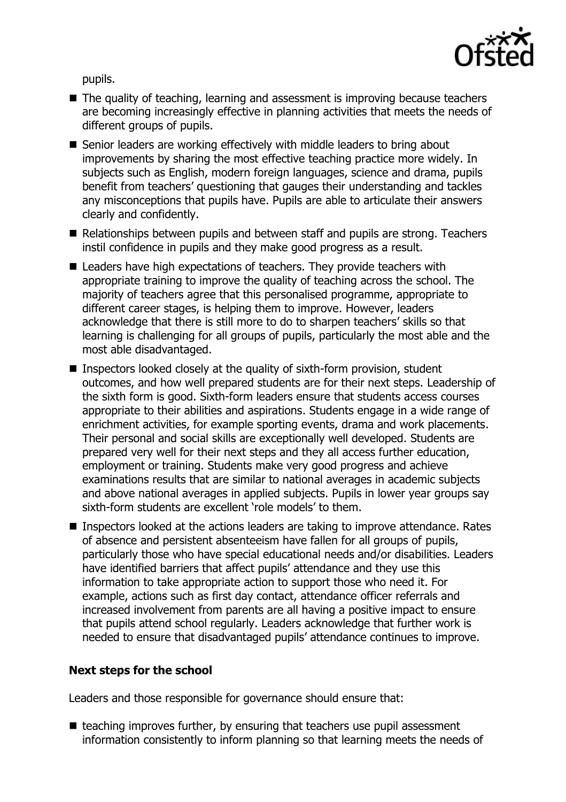

pupils.

- The quality of teaching, learning and assessment is improving because teachers are becoming increasingly effective in planning activities that meets the needs of different groups of pupils.
- Senior leaders are working effectively with middle leaders to bring about improvements by sharing the most effective teaching practice more widely. In subjects such as English, modern foreign languages, science and drama, pupils benefit from teachers' questioning that gauges their understanding and tackles any misconceptions that pupils have. Pupils are able to articulate their answers clearly and confidently.
- Relationships between pupils and between staff and pupils are strong. Teachers instil confidence in pupils and they make good progress as a result.
- Leaders have high expectations of teachers. They provide teachers with appropriate training to improve the quality of teaching across the school. The majority of teachers agree that this personalised programme, appropriate to different career stages, is helping them to improve. However, leaders acknowledge that there is still more to do to sharpen teachers' skills so that learning is challenging for all groups of pupils, particularly the most able and the most able disadvantaged.
- Inspectors looked closely at the quality of sixth-form provision, student outcomes, and how well prepared students are for their next steps. Leadership of the sixth form is good. Sixth-form leaders ensure that students access courses appropriate to their abilities and aspirations. Students engage in a wide range of enrichment activities, for example sporting events, drama and work placements. Their personal and social skills are exceptionally well developed. Students are prepared very well for their next steps and they all access further education, employment or training. Students make very good progress and achieve examinations results that are similar to national averages in academic subjects and above national averages in applied subjects. Pupils in lower year groups say sixth-form students are excellent 'role models' to them.
- Inspectors looked at the actions leaders are taking to improve attendance. Rates of absence and persistent absenteeism have fallen for all groups of pupils, particularly those who have special educational needs and/or disabilities. Leaders have identified barriers that affect pupils' attendance and they use this information to take appropriate action to support those who need it. For example, actions such as first day contact, attendance officer referrals and increased involvement from parents are all having a positive impact to ensure that pupils attend school regularly. Leaders acknowledge that further work is needed to ensure that disadvantaged pupils' attendance continues to improve.

### **Next steps for the school**

Leaders and those responsible for governance should ensure that:

 $\blacksquare$  teaching improves further, by ensuring that teachers use pupil assessment information consistently to inform planning so that learning meets the needs of